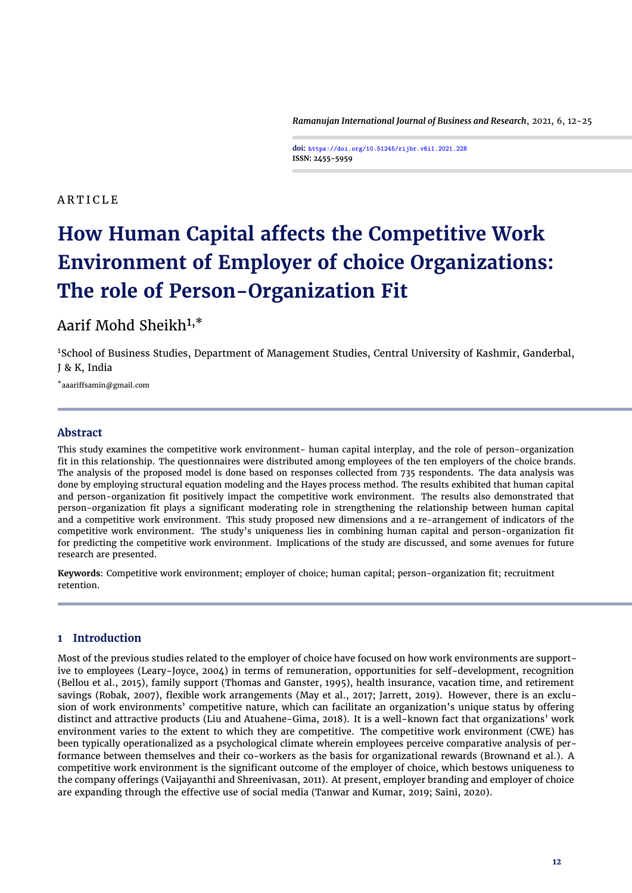*Ramanujan International Journal of Business and Research*, 2021, 6, 12[-25](#page-13-0)

**doi: https://doi.org/10.51245/rijbr.v6i1.2021.228 ISSN: 2455-5959**

## A R T I C L E

# **How Human Capital affects the Competitive Work Environment of Employer of choice Organizations: The role of Person-Organization Fit**

## Aarif Mohd Sheikh1,\*

<sup>1</sup>School of Business Studies, Department of Management Studies, Central University of Kashmir, Ganderbal, J & K, India

\*aaariffsamin@gmail.com

## **Abstract**

This study examines the competitive work environment- human capital interplay, and the role of person-organization fit in this relationship. The questionnaires were distributed among employees of the ten employers of the choice brands. The analysis of the proposed model is done based on responses collected from 735 respondents. The data analysis was done by employing structural equation modeling and the Hayes process method. The results exhibited that human capital and person-organization fit positively impact the competitive work environment. The results also demonstrated that person-organization fit plays a significant moderating role in strengthening the relationship between human capital and a competitive work environment. This study proposed new dimensions and a re-arrangement of indicators of the competitive work environment. The study's uniqueness lies in combining human capital and person-organization fit for predicting the competitive work environment. Implications of the study are discussed, and some avenues for future research are presented.

**Keywords**: Competitive work environment; employer of choice; human capital; person-organization fit; recruitment retention.

## **1 Introduction**

Most of the previous studies related to the employer of choice have focused on how work environments are supportive to employees [\(Leary-Joyce,](#page-11-0) [2004\)](#page-11-0) in terms of remuneration, opportunities for self-development, recognition [\(Bellou et al.,](#page-10-0) [2015\)](#page-10-0), family support [\(Thomas and Ganster,](#page-12-0) [1995\)](#page-12-0), health insurance, vacation time, and retirement savings [\(Robak,](#page-12-1) [2007\)](#page-12-1), flexible work arrangements [\(May et al.,](#page-11-1) [2017;](#page-11-1) [Jarrett,](#page-11-2) [2019\)](#page-11-2). However, there is an exclusion of work environments' competitive nature, which can facilitate an organization's unique status by offering distinct and attractive products [\(Liu and Atuahene-Gima,](#page-11-3) [2018\)](#page-11-3). It is a well-known fact that organizations' work environment varies to the extent to which they are competitive. The competitive work environment (CWE) has been typically operationalized as a psychological climate wherein employees perceive comparative analysis of performance between themselves and their co-workers as the basis for organizational rewards [\(Brownand et al.\)](#page-10-1). A competitive work environment is the significant outcome of the employer of choice, which bestows uniqueness to the company offerings [\(Vaijayanthi and Shreenivasan,](#page-12-2) [2011\)](#page-12-2). At present, employer branding and employer of choice are expanding through the effective use of social media [\(Tanwar and Kumar,](#page-12-3) [2019;](#page-12-3) [Saini,](#page-12-4) [2020\)](#page-12-4).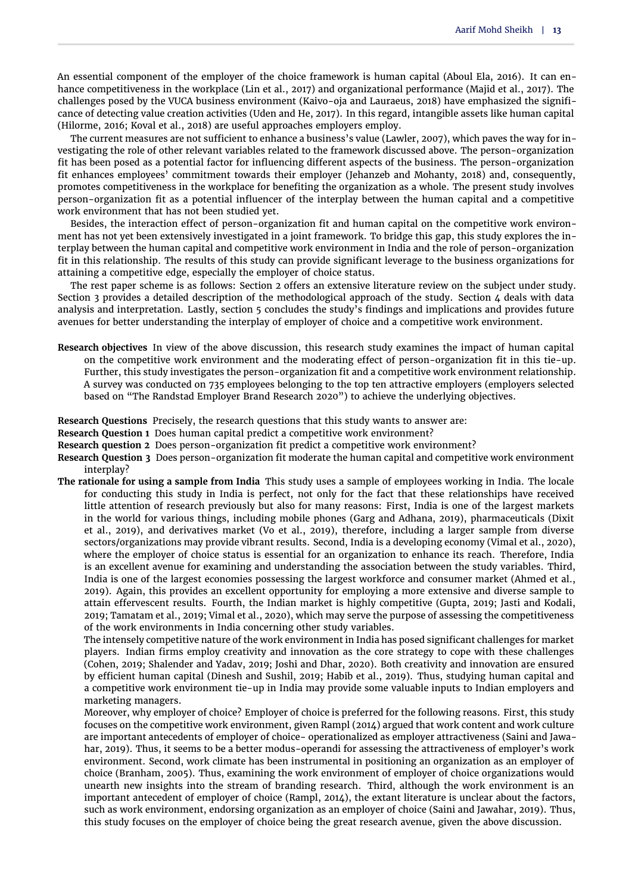An essential component of the employer of the choice framework is human capital [\(Aboul Ela,](#page-9-0) [2016\)](#page-9-0). It can enhance competitiveness in the workplace [\(Lin et al.,](#page-11-4) [2017\)](#page-11-4) and organizational performance [\(Majid et al.,](#page-11-5) [2017\)](#page-11-5). The challenges posed by the VUCA business environment [\(Kaivo-oja and Lauraeus,](#page-11-6) [2018\)](#page-11-6) have emphasized the significance of detecting value creation activities [\(Uden and He,](#page-12-5) [2017\)](#page-12-5). In this regard, intangible assets like human capital [\(Hilorme,](#page-11-7) [2016;](#page-11-7) [Koval et al.,](#page-11-8) [2018\)](#page-11-8) are useful approaches employers employ.

The current measures are not sufficient to enhance a business's value [\(Lawler,](#page-11-9) [2007\)](#page-11-9), which paves the way for investigating the role of other relevant variables related to the framework discussed above. The person-organization fit has been posed as a potential factor for influencing different aspects of the business. The person-organization fit enhances employees' commitment towards their employer [\(Jehanzeb and Mohanty,](#page-11-10) [2018\)](#page-11-10) and, consequently, promotes competitiveness in the workplace for benefiting the organization as a whole. The present study involves person-organization fit as a potential influencer of the interplay between the human capital and a competitive work environment that has not been studied yet.

Besides, the interaction effect of person-organization fit and human capital on the competitive work environment has not yet been extensively investigated in a joint framework. To bridge this gap, this study explores the interplay between the human capital and competitive work environment in India and the role of person-organization fit in this relationship. The results of this study can provide significant leverage to the business organizations for attaining a competitive edge, especially the employer of choice status.

The rest paper scheme is as follows: Section 2 offers an extensive literature review on the subject under study. Section 3 provides a detailed description of the methodological approach of the study. Section  $\Delta$  deals with data analysis and interpretation. Lastly, section 5 concludes the study's findings and implications and provides future avenues for better understanding the interplay of employer of choice and a competitive work environment.

**Research objectives** In view of the above discussion, this research study examines the impact of human capital on the competitive work environment and the moderating effect of person-organization fit in this tie-up. Further, this study investigates the person-organization fit and a competitive work environment relationship. A survey was conducted on 735 employees belonging to the top ten attractive employers (employers selected based on "The Randstad Employer Brand Research 2020") to achieve the underlying objectives.

**Research Questions** Precisely, the research questions that this study wants to answer are:

**Research Question 1** Does human capital predict a competitive work environment?

**Research question 2** Does person-organization fit predict a competitive work environment?

**Research Question 3** Does person-organization fit moderate the human capital and competitive work environment interplay?

**The rationale for using a sample from India** This study uses a sample of employees working in India. The locale for conducting this study in India is perfect, not only for the fact that these relationships have received little attention of research previously but also for many reasons: First, India is one of the largest markets in the world for various things, including mobile phones [\(Garg and Adhana,](#page-10-2) [2019\)](#page-10-2), pharmaceuticals [\(Dixit](#page-10-3) [et al.,](#page-10-3) [2019\)](#page-10-3), and derivatives market [\(Vo et al.,](#page-12-6) [2019\)](#page-12-6), therefore, including a larger sample from diverse sectors/organizations may provide vibrant results. Second, India is a developing economy [\(Vimal et al.,](#page-12-7) [2020\)](#page-12-7), where the employer of choice status is essential for an organization to enhance its reach. Therefore, India is an excellent avenue for examining and understanding the association between the study variables. Third, India is one of the largest economies possessing the largest workforce and consumer market [\(Ahmed et al.,](#page-9-1) [2019\)](#page-9-1). Again, this provides an excellent opportunity for employing a more extensive and diverse sample to attain effervescent results. Fourth, the Indian market is highly competitive [\(Gupta,](#page-10-4) [2019;](#page-10-4) [Jasti and Kodali,](#page-11-11) [2019;](#page-11-11) [Tamatam et al.,](#page-12-8) [2019;](#page-12-8) [Vimal et al.,](#page-12-7) [2020\)](#page-12-7), which may serve the purpose of assessing the competitiveness of the work environments in India concerning other study variables.

The intensely competitive nature of the work environment in India has posed significant challenges for market players. Indian firms employ creativity and innovation as the core strategy to cope with these challenges [\(Cohen,](#page-10-5) [2019;](#page-10-5) [Shalender and Yadav,](#page-12-9) [2019;](#page-12-9) [Joshi and Dhar,](#page-11-12) [2020\)](#page-11-12). Both creativity and innovation are ensured by efficient human capital [\(Dinesh and Sushil,](#page-10-6) [2019;](#page-10-6) [Habib et al.,](#page-10-7) [2019\)](#page-10-7). Thus, studying human capital and a competitive work environment tie-up in India may provide some valuable inputs to Indian employers and marketing managers.

Moreover, why employer of choice? Employer of choice is preferred for the following reasons. First, this study focuses on the competitive work environment, given [Rampl](#page-12-10) [\(2014\)](#page-12-10) argued that work content and work culture are important antecedents of employer of choice- operationalized as employer attractiveness [\(Saini and Jawa](#page-12-11)[har,](#page-12-11) [2019\)](#page-12-11). Thus, it seems to be a better modus-operandi for assessing the attractiveness of employer's work environment. Second, work climate has been instrumental in positioning an organization as an employer of choice [\(Branham,](#page-10-8) [2005\)](#page-10-8). Thus, examining the work environment of employer of choice organizations would unearth new insights into the stream of branding research. Third, although the work environment is an important antecedent of employer of choice [\(Rampl,](#page-12-10) [2014\)](#page-12-10), the extant literature is unclear about the factors, such as work environment, endorsing organization as an employer of choice [\(Saini and Jawahar,](#page-12-11) [2019\)](#page-12-11). Thus, this study focuses on the employer of choice being the great research avenue, given the above discussion.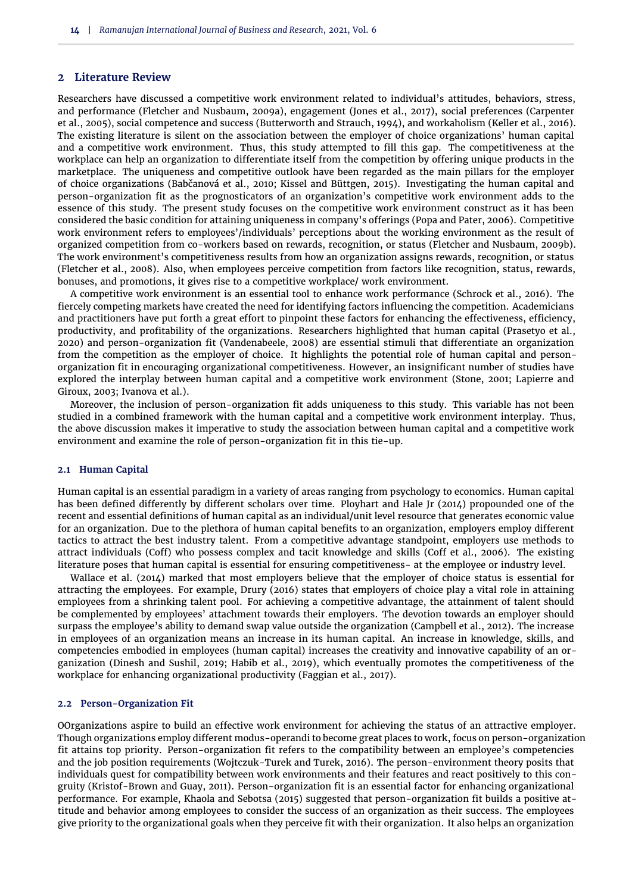## **2 Literature Review**

Researchers have discussed a competitive work environment related to individual's attitudes, behaviors, stress, and performance [\(Fletcher and Nusbaum,](#page-10-9) [2009a\)](#page-10-9), engagement [\(Jones et al.,](#page-11-13) [2017\)](#page-11-13), social preferences [\(Carpenter](#page-10-10) [et al.,](#page-10-10) [2005\)](#page-10-10), social competence and success [\(Butterworth and Strauch,](#page-10-11) [1994\)](#page-10-11), and workaholism [\(Keller et al.,](#page-11-14) [2016\)](#page-11-14). The existing literature is silent on the association between the employer of choice organizations' human capital and a competitive work environment. Thus, this study attempted to fill this gap. The competitiveness at the workplace can help an organization to differentiate itself from the competition by offering unique products in the marketplace. The uniqueness and competitive outlook have been regarded as the main pillars for the employer of choice organizations [\(Babčanová et al.,](#page-9-2) [2010;](#page-9-2) [Kissel and Büttgen,](#page-11-15) [2015\)](#page-11-15). Investigating the human capital and person-organization fit as the prognosticators of an organization's competitive work environment adds to the essence of this study. The present study focuses on the competitive work environment construct as it has been considered the basic condition for attaining uniqueness in company's offerings [\(Popa and Pater,](#page-11-16) [2006\)](#page-11-16). Competitive work environment refers to employees'/individuals' perceptions about the working environment as the result of organized competition from co-workers based on rewards, recognition, or status [\(Fletcher and Nusbaum,](#page-10-12) [2009b\)](#page-10-12). The work environment's competitiveness results from how an organization assigns rewards, recognition, or status [\(Fletcher et al.,](#page-10-13) [2008\)](#page-10-13). Also, when employees perceive competition from factors like recognition, status, rewards, bonuses, and promotions, it gives rise to a competitive workplace/ work environment.

A competitive work environment is an essential tool to enhance work performance [\(Schrock et al.,](#page-12-12) [2016\)](#page-12-12). The fiercely competing markets have created the need for identifying factors influencing the competition. Academicians and practitioners have put forth a great effort to pinpoint these factors for enhancing the effectiveness, efficiency, productivity, and profitability of the organizations. Researchers highlighted that human capital [\(Prasetyo et al.,](#page-11-17) [2020\)](#page-11-17) and person-organization fit [\(Vandenabeele,](#page-12-13) [2008\)](#page-12-13) are essential stimuli that differentiate an organization from the competition as the employer of choice. It highlights the potential role of human capital and personorganization fit in encouraging organizational competitiveness. However, an insignificant number of studies have explored the interplay between human capital and a competitive work environment [\(Stone,](#page-12-14) [2001;](#page-12-14) [Lapierre and](#page-11-18) [Giroux,](#page-11-18) [2003;](#page-11-18) [Ivanova et al.\)](#page-11-19).

Moreover, the inclusion of person-organization fit adds uniqueness to this study. This variable has not been studied in a combined framework with the human capital and a competitive work environment interplay. Thus, the above discussion makes it imperative to study the association between human capital and a competitive work environment and examine the role of person-organization fit in this tie-up.

## **2.1 Human Capital**

Human capital is an essential paradigm in a variety of areas ranging from psychology to economics. Human capital has been defined differently by different scholars over time. [Ployhart and Hale Jr](#page-11-20) [\(2014\)](#page-11-20) propounded one of the recent and essential definitions of human capital as an individual/unit level resource that generates economic value for an organization. Due to the plethora of human capital benefits to an organization, employers employ different tactics to attract the best industry talent. From a competitive advantage standpoint, employers use methods to attract individuals [\(Coff\)](#page-10-14) who possess complex and tacit knowledge and skills [\(Coff et al.,](#page-10-15) [2006\)](#page-10-15). The existing literature poses that human capital is essential for ensuring competitiveness- at the employee or industry level.

[Wallace et al.](#page-12-15) [\(2014\)](#page-12-15) marked that most employers believe that the employer of choice status is essential for attracting the employees. For example, [Drury](#page-10-16) [\(2016\)](#page-10-16) states that employers of choice play a vital role in attaining employees from a shrinking talent pool. For achieving a competitive advantage, the attainment of talent should be complemented by employees' attachment towards their employers. The devotion towards an employer should surpass the employee's ability to demand swap value outside the organization [\(Campbell et al.,](#page-10-17) [2012\)](#page-10-17). The increase in employees of an organization means an increase in its human capital. An increase in knowledge, skills, and competencies embodied in employees (human capital) increases the creativity and innovative capability of an organization [\(Dinesh and Sushil,](#page-10-6) [2019;](#page-10-6) [Habib et al.,](#page-10-7) [2019\)](#page-10-7), which eventually promotes the competitiveness of the workplace for enhancing organizational productivity [\(Faggian et al.,](#page-10-18) [2017\)](#page-10-18).

### **2.2 Person-Organization Fit**

OOrganizations aspire to build an effective work environment for achieving the status of an attractive employer. Though organizations employ different modus-operandi to become great places to work, focus on person-organization fit attains top priority. Person-organization fit refers to the compatibility between an employee's competencies and the job position requirements [\(Wojtczuk-Turek and Turek,](#page-13-1) [2016\)](#page-13-1). The person-environment theory posits that individuals quest for compatibility between work environments and their features and react positively to this congruity [\(Kristof-Brown and Guay,](#page-11-21) [2011\)](#page-11-21). Person-organization fit is an essential factor for enhancing organizational performance. For example, [Khaola and Sebotsa](#page-11-22) [\(2015\)](#page-11-22) suggested that person-organization fit builds a positive attitude and behavior among employees to consider the success of an organization as their success. The employees give priority to the organizational goals when they perceive fit with their organization. It also helps an organization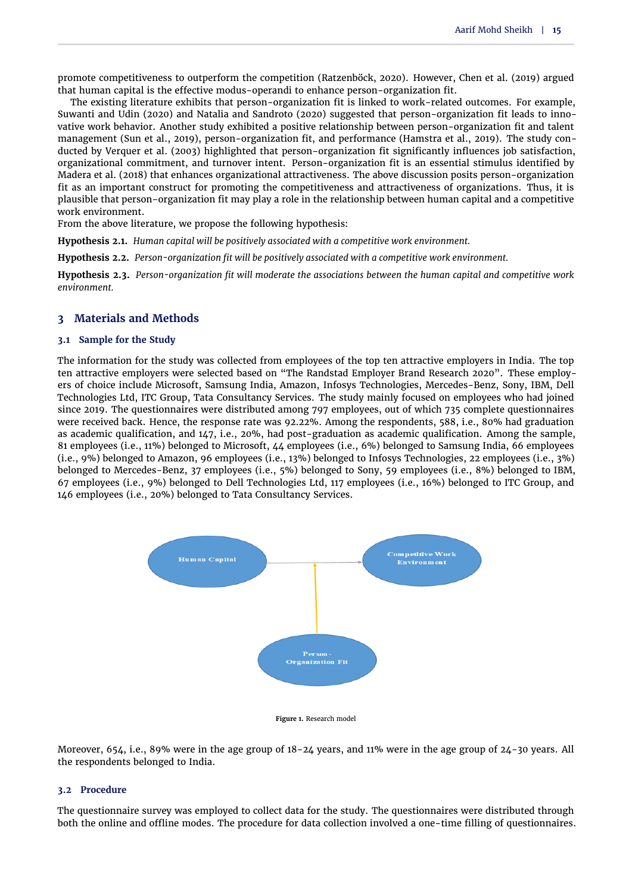promote competitiveness to outperform the competition [\(Ratzenböck,](#page-12-16) [2020\)](#page-12-16). However, [Chen et al.](#page-10-19) [\(2019\)](#page-10-19) argued that human capital is the effective modus-operandi to enhance person-organization fit.

The existing literature exhibits that person-organization fit is linked to work-related outcomes. For example, [Suwanti and Udin](#page-12-17) [\(2020\)](#page-12-17) and [Natalia and Sandroto](#page-11-23) [\(2020\)](#page-11-23) suggested that person-organization fit leads to innovative work behavior. Another study exhibited a positive relationship between person-organization fit and talent management [\(Sun et al.,](#page-12-18) [2019\)](#page-12-18), person-organization fit, and performance [\(Hamstra et al.,](#page-10-20) [2019\)](#page-10-20). The study conducted by [Verquer et al.](#page-12-19) [\(2003\)](#page-12-19) highlighted that person-organization fit significantly influences job satisfaction, organizational commitment, and turnover intent. Person-organization fit is an essential stimulus identified by [Madera et al.](#page-11-24) [\(2018\)](#page-11-24) that enhances organizational attractiveness. The above discussion posits person-organization fit as an important construct for promoting the competitiveness and attractiveness of organizations. Thus, it is plausible that person-organization fit may play a role in the relationship between human capital and a competitive work environment.

From the above literature, we propose the following hypothesis:

**Hypothesis 2.1.** *Human capital will be positively associated with a competitive work environment.*

**Hypothesis 2.2.** *Person-organization fit will be positively associated with a competitive work environment.*

<span id="page-3-0"></span>**Hypothesis 2.3.** *Person-organization fit will moderate the associations between the human capital and competitive work environment.*

## **3 Materials and Methods**

## **3.1 Sample for the Study**

The information for the study was collected from employees of the top ten attractive employers in India. The top ten attractive employers were selected based on "The Randstad Employer Brand Research 2020". These employers of choice include Microsoft, Samsung India, Amazon, Infosys Technologies, Mercedes-Benz, Sony, IBM, Dell Technologies Ltd, ITC Group, Tata Consultancy Services. The study mainly focused on employees who had joined since 2019. The questionnaires were distributed among 797 employees, out of which 735 complete questionnaires were received back. Hence, the response rate was 92.22%. Among the respondents, 588, i.e., 80% had graduation as academic qualification, and 147, i.e., 20%, had post-graduation as academic qualification. Among the sample, 81 employees (i.e., 11%) belonged to Microsoft, 44 employees (i.e., 6%) belonged to Samsung India, 66 employees (i.e., 9%) belonged to Amazon, 96 employees (i.e., 13%) belonged to Infosys Technologies, 22 employees (i.e., 3%) belonged to Mercedes-Benz, 37 employees (i.e., 5%) belonged to Sony, 59 employees (i.e., 8%) belonged to IBM, 67 employees (i.e., 9%) belonged to Dell Technologies Ltd, 117 employees (i.e., 16%) belonged to ITC Group, and 146 employees (i.e., 20%) belonged to Tata Consultancy Services.



**Figure 1.** Research model

Moreover, 654, i.e., 89% were in the age group of 18-24 years, and 11% were in the age group of 24-30 years. All the respondents belonged to India.

## **3.2 Procedure**

The questionnaire survey was employed to collect data for the study. The questionnaires were distributed through both the online and offline modes. The procedure for data collection involved a one-time filling of questionnaires.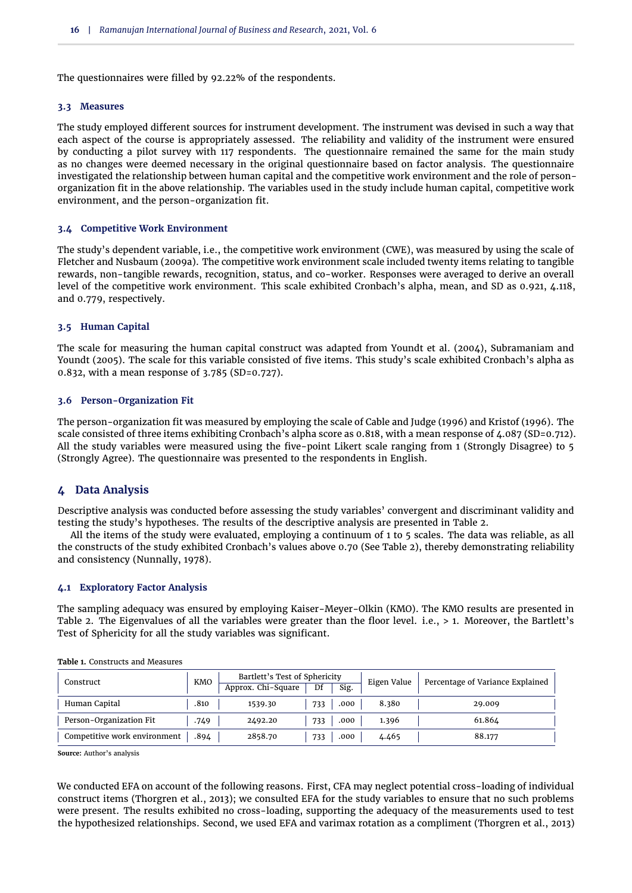The questionnaires were filled by 92.22% of the respondents.

#### **3.3 Measures**

The study employed different sources for instrument development. The instrument was devised in such a way that each aspect of the course is appropriately assessed. The reliability and validity of the instrument were ensured by conducting a pilot survey with 117 respondents. The questionnaire remained the same for the main study as no changes were deemed necessary in the original questionnaire based on factor analysis. The questionnaire investigated the relationship between human capital and the competitive work environment and the role of personorganization fit in the above relationship. The variables used in the study include human capital, competitive work environment, and the person-organization fit.

## **3.4 Competitive Work Environment**

The study's dependent variable, i.e., the competitive work environment (CWE), was measured by using the scale of [Fletcher and Nusbaum](#page-10-9) [\(2009a\)](#page-10-9). The competitive work environment scale included twenty items relating to tangible rewards, non-tangible rewards, recognition, status, and co-worker. Responses were averaged to derive an overall level of the competitive work environment. This scale exhibited Cronbach's alpha, mean, and SD as 0.921, 4.118, and 0.779, respectively.

## **3.5 Human Capital**

The scale for measuring the human capital construct was adapted from [Youndt et al.](#page-13-2) [\(2004\)](#page-13-2), [Subramaniam and](#page-12-20) [Youndt](#page-12-20) [\(2005\)](#page-12-20). The scale for this variable consisted of five items. This study's scale exhibited Cronbach's alpha as 0.832, with a mean response of 3.785 (SD=0.727).

## **3.6 Person-Organization Fit**

The person-organization fit was measured by employing the scale of [Cable and Judge](#page-10-21) [\(1996\)](#page-10-21) and [Kristof](#page-11-25) [\(1996\)](#page-11-25). The scale consisted of three items exhibiting Cronbach's alpha score as 0.818, with a mean response of 4.087 (SD=0.712). All the study variables were measured using the five-point Likert scale ranging from 1 (Strongly Disagree) to 5 (Strongly Agree). The questionnaire was presented to the respondents in English.

## **4 Data Analysis**

Descriptive analysis was conducted before assessing the study variables' convergent and discriminant validity and testing the study's hypotheses. The results of the descriptive analysis are presented in [Table 2.](#page-5-0)

All the items of the study were evaluated, employing a continuum of 1 to 5 scales. The data was reliable, as all the constructs of the study exhibited Cronbach's values above 0.70 (See [Table 2\)](#page-5-0), thereby demonstrating reliability and consistency [\(Nunnally,](#page-11-26) [1978\)](#page-11-26).

## **4.1 Exploratory Factor Analysis**

The sampling adequacy was ensured by employing Kaiser-Meyer-Olkin (KMO). The KMO results are presented in [Table 2.](#page-5-0) The Eigenvalues of all the variables were greater than the floor level. i.e., > 1. Moreover, the Bartlett's Test of Sphericity for all the study variables was significant.

| Construct                    | <b>KMO</b> | Bartlett's Test of Sphericity<br>Approx. Chi-Square | Df<br>Sig.  | Eigen Value | Percentage of Variance Explained |
|------------------------------|------------|-----------------------------------------------------|-------------|-------------|----------------------------------|
| Human Capital                | .810       | 1539.30                                             | 733<br>.000 | 8.380       | 29.009                           |
| Person-Organization Fit      | .749       | 2492.20                                             | 733<br>.000 | 1.396       | 61.864                           |
| Competitive work environment | .894       | 2858.70                                             | 733<br>.000 | 4.465       | 88.177                           |

<span id="page-4-0"></span>**Table 1.** Constructs and Measures

**Source:** Author's analysis

We conducted EFA on account of the following reasons. First, CFA may neglect potential cross-loading of individual construct items [\(Thorgren et al.,](#page-12-21) [2013\)](#page-12-21); we consulted EFA for the study variables to ensure that no such problems were present. The results exhibited no cross-loading, supporting the adequacy of the measurements used to test the hypothesized relationships. Second, we used EFA and varimax rotation as a compliment [\(Thorgren et al.,](#page-12-21) [2013\)](#page-12-21)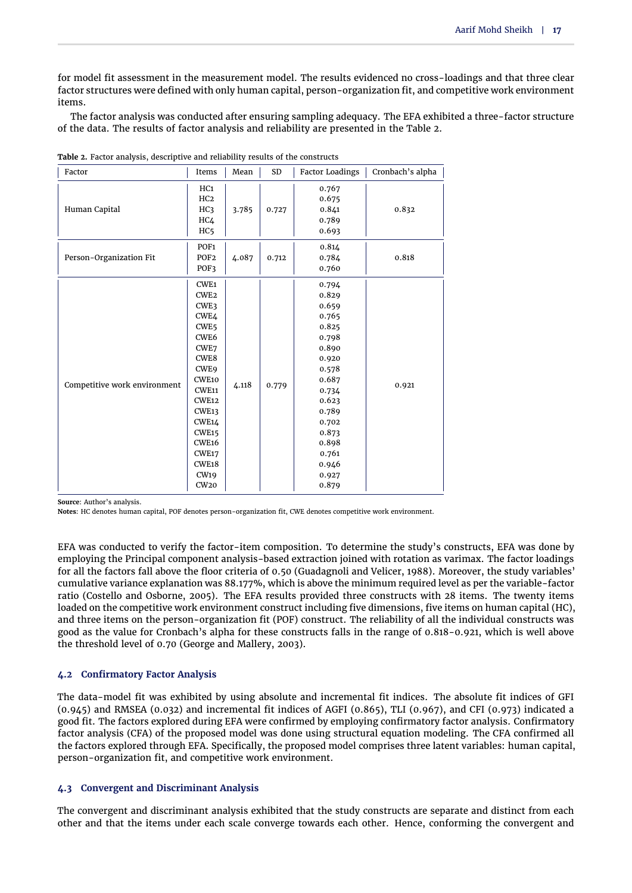for model fit assessment in the measurement model. The results evidenced no cross-loadings and that three clear factor structures were defined with only human capital, person-organization fit, and competitive work environment items.

The factor analysis was conducted after ensuring sampling adequacy. The EFA exhibited a three-factor structure of the data. The results of factor analysis and reliability are presented in the [Table 2.](#page-5-0)

| Factor                       | Items             | Mean  | SD    | <b>Factor Loadings</b> | Cronbach's alpha |
|------------------------------|-------------------|-------|-------|------------------------|------------------|
|                              | HC1               |       | 0.727 | 0.767                  |                  |
|                              | HC <sub>2</sub>   |       |       | 0.675                  |                  |
| Human Capital                | HC <sub>3</sub>   | 3.785 |       | 0.841                  | 0.832            |
|                              | HC <sub>4</sub>   |       |       | 0.789                  |                  |
|                              | HC <sub>5</sub>   |       |       | 0.693                  |                  |
|                              | POF <sub>1</sub>  |       | 0.712 | 0.814                  |                  |
| Person-Organization Fit      | POF <sub>2</sub>  | 4.087 |       | 0.784                  | 0.818            |
|                              | POF3              |       |       | 0.760                  |                  |
|                              | CWE <sub>1</sub>  |       | 0.779 | 0.794                  |                  |
|                              | CWE <sub>2</sub>  |       |       | 0.829                  |                  |
|                              | CWE3              |       |       | 0.659                  |                  |
|                              | CWE4              |       |       | 0.765                  |                  |
|                              | CWE <sub>5</sub>  |       |       | 0.825                  |                  |
|                              | CWE <sub>6</sub>  |       |       | 0.798                  |                  |
|                              | CWE7              |       |       | 0.890                  |                  |
|                              | CWE8              |       |       | 0.920                  |                  |
|                              | CWE9              |       |       | 0.578                  |                  |
| Competitive work environment | CWE10             | 4.118 |       | 0.687                  | 0.921            |
|                              | <b>CWE11</b>      |       |       | 0.734                  |                  |
|                              | <b>CWE12</b>      |       |       | 0.623                  |                  |
|                              | CWE13             |       |       | 0.789                  |                  |
|                              | CWE14             |       |       | 0.702                  |                  |
|                              | CWE <sub>15</sub> |       |       | 0.873                  |                  |
|                              | CWE <sub>16</sub> |       |       | 0.898                  |                  |
|                              | CWE17             |       |       | 0.761                  |                  |
|                              | CWE <sub>18</sub> |       |       | 0.946                  |                  |
|                              | <b>CW19</b>       |       |       | 0.927                  |                  |
|                              | CW <sub>20</sub>  |       |       | 0.879                  |                  |

<span id="page-5-0"></span>**Table 2.** Factor analysis, descriptive and reliability results of the constructs

**Source**: Author's analysis.

**Notes**: HC denotes human capital, POF denotes person-organization fit, CWE denotes competitive work environment.

EFA was conducted to verify the factor-item composition. To determine the study's constructs, EFA was done by employing the Principal component analysis-based extraction joined with rotation as varimax. The factor loadings for all the factors fall above the floor criteria of 0.50 [\(Guadagnoli and Velicer,](#page-10-22) [1988\)](#page-10-22). Moreover, the study variables' cumulative variance explanation was 88.177%, which is above the minimum required level as per the variable-factor ratio [\(Costello and Osborne,](#page-10-23) [2005\)](#page-10-23). The EFA results provided three constructs with 28 items. The twenty items loaded on the competitive work environment construct including five dimensions, five items on human capital (HC), and three items on the person-organization fit (POF) construct. The reliability of all the individual constructs was good as the value for Cronbach's alpha for these constructs falls in the range of 0.818-0.921, which is well above the threshold level of 0.70 [\(George and Mallery,](#page-10-24) [2003\)](#page-10-24).

## **4.2 Confirmatory Factor Analysis**

The data-model fit was exhibited by using absolute and incremental fit indices. The absolute fit indices of GFI (0.945) and RMSEA (0.032) and incremental fit indices of AGFI (0.865), TLI (0.967), and CFI (0.973) indicated a good fit. The factors explored during EFA were confirmed by employing confirmatory factor analysis. Confirmatory factor analysis (CFA) of the proposed model was done using structural equation modeling. The CFA confirmed all the factors explored through EFA. Specifically, the proposed model comprises three latent variables: human capital, person-organization fit, and competitive work environment.

## **4.3 Convergent and Discriminant Analysis**

The convergent and discriminant analysis exhibited that the study constructs are separate and distinct from each other and that the items under each scale converge towards each other. Hence, conforming the convergent and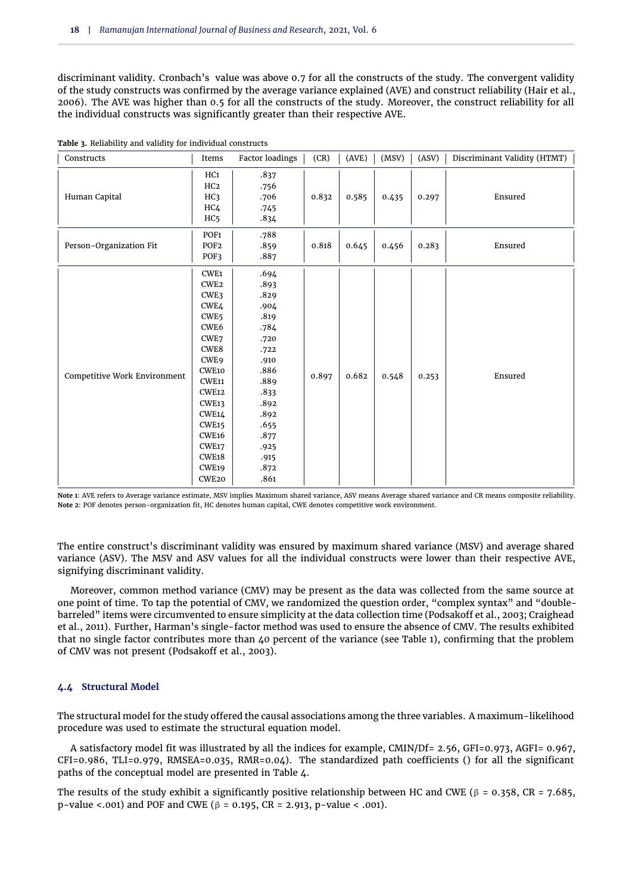discriminant validity. Cronbach's value was above 0.7 for all the constructs of the study. The convergent validity of the study constructs was confirmed by the average variance explained (AVE) and construct reliability [\(Hair et al.,](#page-10-25) [2006\)](#page-10-25). The AVE was higher than 0.5 for all the constructs of the study. Moreover, the construct reliability for all the individual constructs was significantly greater than their respective AVE.

| Constructs                   | Items                                                                                                                                                                                                                                                       | Factor loadings                                                                                                                                              | (CR)  | (AVE) | (MSV) | (ASV) | Discriminant Validity (HTMT) |
|------------------------------|-------------------------------------------------------------------------------------------------------------------------------------------------------------------------------------------------------------------------------------------------------------|--------------------------------------------------------------------------------------------------------------------------------------------------------------|-------|-------|-------|-------|------------------------------|
| Human Capital                | HC1<br>HC <sub>2</sub><br>HC <sub>3</sub><br>HC <sub>4</sub><br>HC <sub>5</sub>                                                                                                                                                                             | .837<br>.756<br>.706<br>.745<br>.834                                                                                                                         | 0.832 | 0.585 | 0.435 | 0.297 | Ensured                      |
| Person-Organization Fit      | POF <sub>1</sub><br>POF <sub>2</sub><br>POF3                                                                                                                                                                                                                | .788<br>.859<br>.887                                                                                                                                         | 0.818 | 0.645 | 0.456 | 0.283 | Ensured                      |
| Competitive Work Environment | CWE1<br>CWE <sub>2</sub><br>CWE3<br>CWE4<br>CWE <sub>5</sub><br>CWE6<br>CWE7<br>CWE8<br>CWE9<br>CWE10<br>CWE11<br><b>CWE12</b><br>CWE <sub>13</sub><br><b>CWE14</b><br><b>CWE15</b><br>${\tt CWE16}$<br>CWE17<br><b>CWE18</b><br>CWE19<br>CWE <sub>20</sub> | .694<br>.893<br>.829<br>.904<br>.819<br>.784<br>.720<br>.722<br>.910<br>.886<br>.889<br>.833<br>.892<br>.892<br>.655<br>.877<br>.925<br>.915<br>.872<br>.861 | 0.897 | 0.682 | 0.548 | 0.253 | Ensured                      |

**Table 3.** Reliability and validity for individual constructs

**Note 1**: AVE refers to Average variance estimate, MSV implies Maximum shared variance, ASV means Average shared variance and CR means composite reliability. **Note 2**: POF denotes person-organization fit, HC denotes human capital, CWE denotes competitive work environment.

The entire construct's discriminant validity was ensured by maximum shared variance (MSV) and average shared variance (ASV). The MSV and ASV values for all the individual constructs were lower than their respective AVE, signifying discriminant validity.

Moreover, common method variance (CMV) may be present as the data was collected from the same source at one point of time. To tap the potential of CMV, we randomized the question order, "complex syntax" and "doublebarreled" items were circumvented to ensure simplicity at the data collection time [\(Podsakoff et al.,](#page-11-27) [2003;](#page-11-27) [Craighead](#page-10-26) [et al.,](#page-10-26) [2011\)](#page-10-26). Further, Harman's single-factor method was used to ensure the absence of CMV. The results exhibited that no single factor contributes more than 40 percent of the variance (see [Table 1\)](#page-4-0), confirming that the problem of CMV was not present [\(Podsakoff et al.,](#page-11-27) [2003\)](#page-11-27).

## **4.4 Structural Model**

The structural model for the study offered the causal associations among the three variables. A maximum-likelihood procedure was used to estimate the structural equation model.

A satisfactory model fit was illustrated by all the indices for example, CMIN/Df= 2.56, GFI=0.973, AGFI= 0.967, CFI=0.986, TLI=0.979, RMSEA=0.035, RMR=0.04). The standardized path coefficients () for all the significant paths of the conceptual model are presented in [Table 4.](#page-7-0)

The results of the study exhibit a significantly positive relationship between HC and CWE ( $\beta$  = 0.358, CR = 7.685, p-value <.001) and POF and CWE (β = 0.195, CR = 2.913, p-value < .001).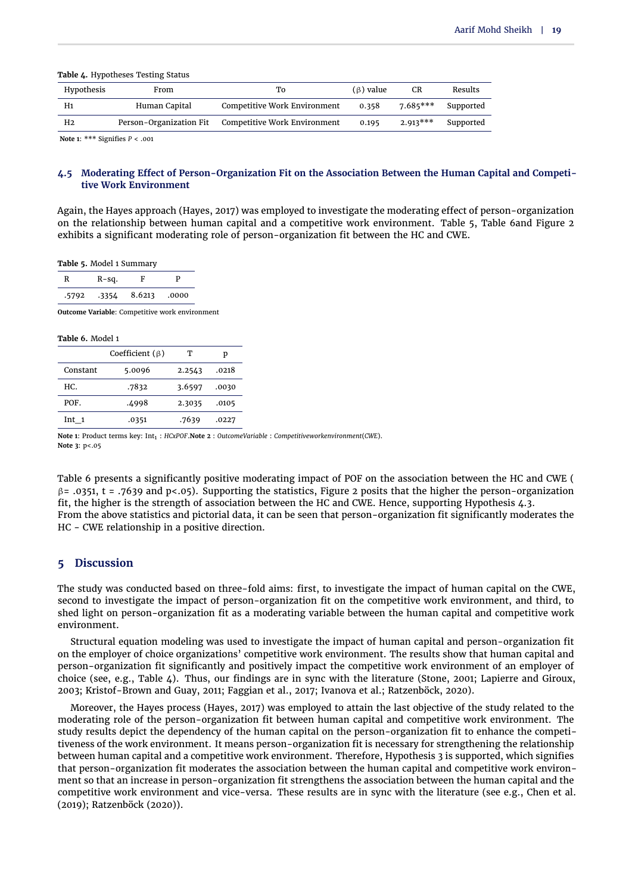#### <span id="page-7-0"></span>**Table 4.** Hypotheses Testing Status

| Hypothesis | From                    | To                           | $(\beta)$ value | CR         | Results   |
|------------|-------------------------|------------------------------|-----------------|------------|-----------|
| H1         | Human Capital           | Competitive Work Environment | 0.358           | $7.685***$ | Supported |
| H2         | Person-Organization Fit | Competitive Work Environment | 0.195           | $2.913***$ | Supported |

**Note 1**: \*\*\* Signifies *P* < .001

## **4.5 Moderating Effect of Person-Organization Fit on the Association Between the Human Capital and Competitive Work Environment**

Again, the Hayes approach [\(Hayes,](#page-11-28) [2017\)](#page-11-28) was employed to investigate the moderating effect of person-organization on the relationship between human capital and a competitive work environment. [Table 5,](#page-7-1) [Table 6a](#page-7-2)nd [Figure 2](#page-8-0) exhibits a significant moderating role of person-organization fit between the HC and CWE.

<span id="page-7-1"></span>**Table 5.** Model 1 Summary

| R     | $R-Sq.$ | F      | D     |
|-------|---------|--------|-------|
| .5792 | -3354   | 8.6213 | .0000 |

**Outcome Variable**: Competitive work environment

#### <span id="page-7-2"></span>**Table 6.** Model 1

|          | Coefficient $(\beta)$ | т      | р     |
|----------|-----------------------|--------|-------|
| Constant | 5.0096                | 2.2543 | .0218 |
| HC.      | .7832                 | 3.6597 | .0030 |
| POF.     | .4998                 | 2.3035 | .0105 |
| Int 1    | .0351                 | .7639  | .0227 |

**Note 1**: Product terms key: Int1 : *HCxPOF*.**Note 2** : *OutcomeVariable* : *Competitiveworkenvironment*(*CWE*). **Note 3**: p<.05

[Table 6](#page-7-2) presents a significantly positive moderating impact of POF on the association between the HC and CWE (  $β = .0351$ , t = .7639 and p<.05). Supporting the statistics, [Figure 2](#page-8-0) posits that the higher the person-organization fit, the higher is the strength of association between the HC and CWE. Hence, supporting [Hypothesis 4.3.](#page-3-0) From the above statistics and pictorial data, it can be seen that person-organization fit significantly moderates the HC - CWE relationship in a positive direction.

## **5 Discussion**

The study was conducted based on three-fold aims: first, to investigate the impact of human capital on the CWE, second to investigate the impact of person-organization fit on the competitive work environment, and third, to shed light on person-organization fit as a moderating variable between the human capital and competitive work environment.

Structural equation modeling was used to investigate the impact of human capital and person-organization fit on the employer of choice organizations' competitive work environment. The results show that human capital and person-organization fit significantly and positively impact the competitive work environment of an employer of choice (see, e.g., [Table 4\)](#page-7-0). Thus, our findings are in sync with the literature [\(Stone,](#page-12-14) [2001;](#page-12-14) [Lapierre and Giroux,](#page-11-18) [2003;](#page-11-18) [Kristof-Brown and Guay,](#page-11-21) [2011;](#page-11-21) [Faggian et al.,](#page-10-18) [2017;](#page-10-18) [Ivanova et al.;](#page-11-19) [Ratzenböck,](#page-12-16) [2020\)](#page-12-16).

Moreover, the Hayes process [\(Hayes,](#page-11-28) [2017\)](#page-11-28) was employed to attain the last objective of the study related to the moderating role of the person-organization fit between human capital and competitive work environment. The study results depict the dependency of the human capital on the person-organization fit to enhance the competitiveness of the work environment. It means person-organization fit is necessary for strengthening the relationship between human capital and a competitive work environment. Therefore, Hypothesis 3 is supported, which signifies that person-organization fit moderates the association between the human capital and competitive work environment so that an increase in person-organization fit strengthens the association between the human capital and the competitive work environment and vice-versa. These results are in sync with the literature (see e.g., [Chen et al.](#page-10-19) [\(2019\)](#page-10-19); [Ratzenböck](#page-12-16) [\(2020\)](#page-12-16)).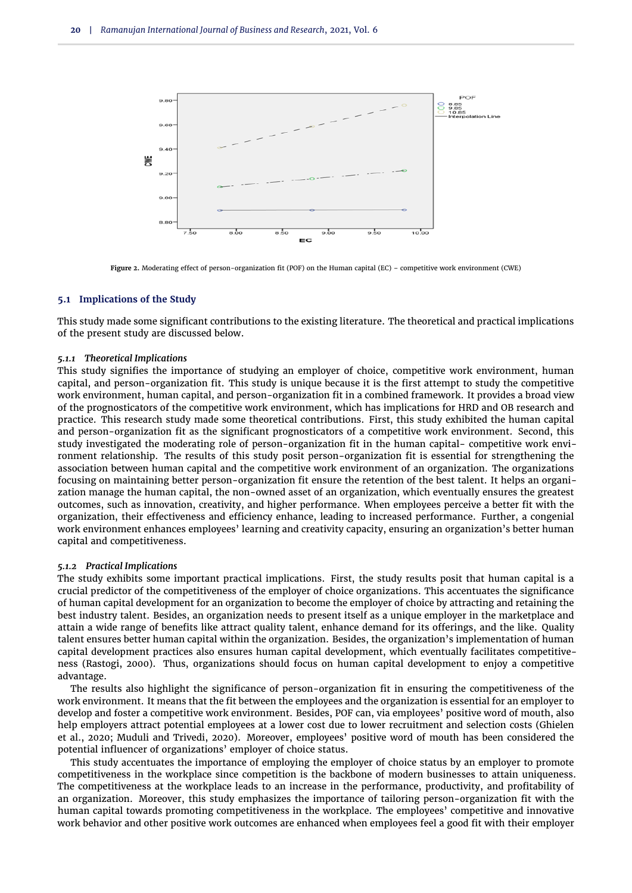<span id="page-8-0"></span>

**Figure 2.** Moderating effect of person-organization fit (POF) on the Human capital (EC) – competitive work environment (CWE)

#### **5.1 Implications of the Study**

This study made some significant contributions to the existing literature. The theoretical and practical implications of the present study are discussed below.

#### *5.1.1 Theoretical Implications*

This study signifies the importance of studying an employer of choice, competitive work environment, human capital, and person-organization fit. This study is unique because it is the first attempt to study the competitive work environment, human capital, and person-organization fit in a combined framework. It provides a broad view of the prognosticators of the competitive work environment, which has implications for HRD and OB research and practice. This research study made some theoretical contributions. First, this study exhibited the human capital and person-organization fit as the significant prognosticators of a competitive work environment. Second, this study investigated the moderating role of person-organization fit in the human capital- competitive work environment relationship. The results of this study posit person-organization fit is essential for strengthening the association between human capital and the competitive work environment of an organization. The organizations focusing on maintaining better person-organization fit ensure the retention of the best talent. It helps an organization manage the human capital, the non-owned asset of an organization, which eventually ensures the greatest outcomes, such as innovation, creativity, and higher performance. When employees perceive a better fit with the organization, their effectiveness and efficiency enhance, leading to increased performance. Further, a congenial work environment enhances employees' learning and creativity capacity, ensuring an organization's better human capital and competitiveness.

#### *5.1.2 Practical Implications*

The study exhibits some important practical implications. First, the study results posit that human capital is a crucial predictor of the competitiveness of the employer of choice organizations. This accentuates the significance of human capital development for an organization to become the employer of choice by attracting and retaining the best industry talent. Besides, an organization needs to present itself as a unique employer in the marketplace and attain a wide range of benefits like attract quality talent, enhance demand for its offerings, and the like. Quality talent ensures better human capital within the organization. Besides, the organization's implementation of human capital development practices also ensures human capital development, which eventually facilitates competitiveness [\(Rastogi,](#page-12-22) [2000\)](#page-12-22). Thus, organizations should focus on human capital development to enjoy a competitive advantage.

The results also highlight the significance of person-organization fit in ensuring the competitiveness of the work environment. It means that the fit between the employees and the organization is essential for an employer to develop and foster a competitive work environment. Besides, POF can, via employees' positive word of mouth, also help employers attract potential employees at a lower cost due to lower recruitment and selection costs [\(Ghielen](#page-10-27) [et al.,](#page-10-27) [2020;](#page-10-27) [Muduli and Trivedi,](#page-11-29) [2020\)](#page-11-29). Moreover, employees' positive word of mouth has been considered the potential influencer of organizations' employer of choice status.

This study accentuates the importance of employing the employer of choice status by an employer to promote competitiveness in the workplace since competition is the backbone of modern businesses to attain uniqueness. The competitiveness at the workplace leads to an increase in the performance, productivity, and profitability of an organization. Moreover, this study emphasizes the importance of tailoring person-organization fit with the human capital towards promoting competitiveness in the workplace. The employees' competitive and innovative work behavior and other positive work outcomes are enhanced when employees feel a good fit with their employer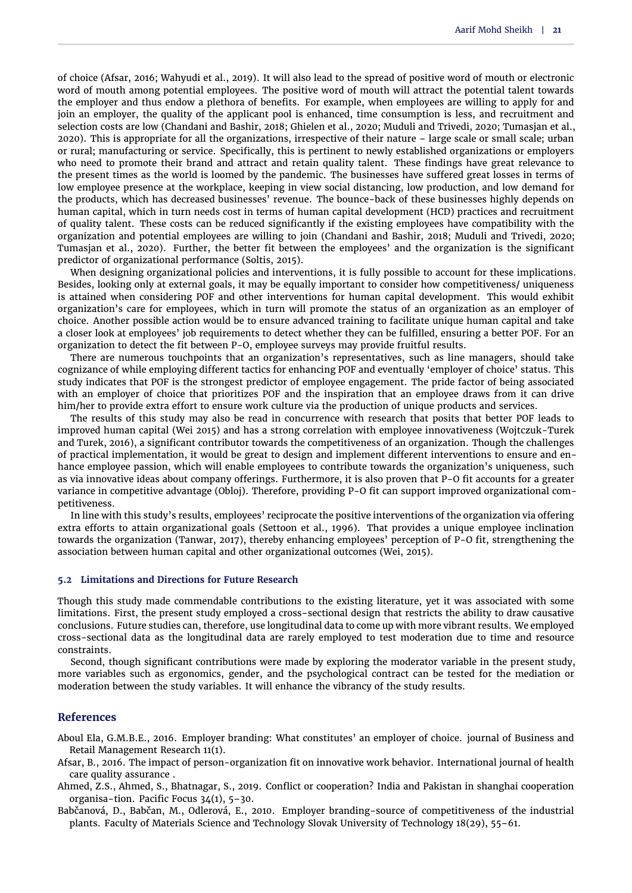of choice [\(Afsar,](#page-9-3) [2016;](#page-9-3) [Wahyudi et al.,](#page-12-23) [2019\)](#page-12-23). It will also lead to the spread of positive word of mouth or electronic word of mouth among potential employees. The positive word of mouth will attract the potential talent towards the employer and thus endow a plethora of benefits. For example, when employees are willing to apply for and join an employer, the quality of the applicant pool is enhanced, time consumption is less, and recruitment and selection costs are low [\(Chandani and Bashir,](#page-10-28) [2018;](#page-10-28) [Ghielen et al.,](#page-10-27) [2020;](#page-10-27) [Muduli and Trivedi,](#page-11-29) [2020;](#page-11-29) [Tumasjan et al.,](#page-12-24) [2020\)](#page-12-24). This is appropriate for all the organizations, irrespective of their nature – large scale or small scale; urban or rural; manufacturing or service. Specifically, this is pertinent to newly established organizations or employers who need to promote their brand and attract and retain quality talent. These findings have great relevance to the present times as the world is loomed by the pandemic. The businesses have suffered great losses in terms of low employee presence at the workplace, keeping in view social distancing, low production, and low demand for the products, which has decreased businesses' revenue. The bounce-back of these businesses highly depends on human capital, which in turn needs cost in terms of human capital development (HCD) practices and recruitment of quality talent. These costs can be reduced significantly if the existing employees have compatibility with the organization and potential employees are willing to join [\(Chandani and Bashir,](#page-10-28) [2018;](#page-10-28) [Muduli and Trivedi,](#page-11-29) [2020;](#page-11-29) [Tumasjan et al.,](#page-12-24) [2020\)](#page-12-24). Further, the better fit between the employees' and the organization is the significant predictor of organizational performance [\(Soltis,](#page-12-25) [2015\)](#page-12-25).

When designing organizational policies and interventions, it is fully possible to account for these implications. Besides, looking only at external goals, it may be equally important to consider how competitiveness/ uniqueness is attained when considering POF and other interventions for human capital development. This would exhibit organization's care for employees, which in turn will promote the status of an organization as an employer of choice. Another possible action would be to ensure advanced training to facilitate unique human capital and take a closer look at employees' job requirements to detect whether they can be fulfilled, ensuring a better POF. For an organization to detect the fit between P-O, employee surveys may provide fruitful results.

There are numerous touchpoints that an organization's representatives, such as line managers, should take cognizance of while employing different tactics for enhancing POF and eventually 'employer of choice' status. This study indicates that POF is the strongest predictor of employee engagement. The pride factor of being associated with an employer of choice that prioritizes POF and the inspiration that an employee draws from it can drive him/her to provide extra effort to ensure work culture via the production of unique products and services.

The results of this study may also be read in concurrence with research that posits that better POF leads to improved human capital (Wei 2015) and has a strong correlation with employee innovativeness [\(Wojtczuk-Turek](#page-13-1) [and Turek,](#page-13-1) [2016\)](#page-13-1), a significant contributor towards the competitiveness of an organization. Though the challenges of practical implementation, it would be great to design and implement different interventions to ensure and enhance employee passion, which will enable employees to contribute towards the organization's uniqueness, such as via innovative ideas about company offerings. Furthermore, it is also proven that P-O fit accounts for a greater variance in competitive advantage [\(Obloj\)](#page-11-30). Therefore, providing P-O fit can support improved organizational competitiveness.

In line with this study's results, employees' reciprocate the positive interventions of the organization via offering extra efforts to attain organizational goals [\(Settoon et al.,](#page-12-26) [1996\)](#page-12-26). That provides a unique employee inclination towards the organization [\(Tanwar,](#page-12-27) [2017\)](#page-12-27), thereby enhancing employees' perception of P-O fit, strengthening the association between human capital and other organizational outcomes [\(Wei,](#page-13-3) [2015\)](#page-13-3).

## **5.2 Limitations and Directions for Future Research**

Though this study made commendable contributions to the existing literature, yet it was associated with some limitations. First, the present study employed a cross-sectional design that restricts the ability to draw causative conclusions. Future studies can, therefore, use longitudinal data to come up with more vibrant results. We employed cross-sectional data as the longitudinal data are rarely employed to test moderation due to time and resource constraints.

Second, though significant contributions were made by exploring the moderator variable in the present study, more variables such as ergonomics, gender, and the psychological contract can be tested for the mediation or moderation between the study variables. It will enhance the vibrancy of the study results.

## **References**

<span id="page-9-0"></span>Aboul Ela, G.M.B.E., 2016. Employer branding: What constitutes' an employer of choice. journal of Business and Retail Management Research 11(1).

- <span id="page-9-3"></span>Afsar, B., 2016. The impact of person-organization fit on innovative work behavior. International journal of health care quality assurance .
- <span id="page-9-1"></span>Ahmed, Z.S., Ahmed, S., Bhatnagar, S., 2019. Conflict or cooperation? India and Pakistan in shanghai cooperation organisa-tion. Pacific Focus 34(1), 5–30.
- <span id="page-9-2"></span>Babčanová, D., Babčan, M., Odlerová, E., 2010. Employer branding-source of competitiveness of the industrial plants. Faculty of Materials Science and Technology Slovak University of Technology 18(29), 55–61.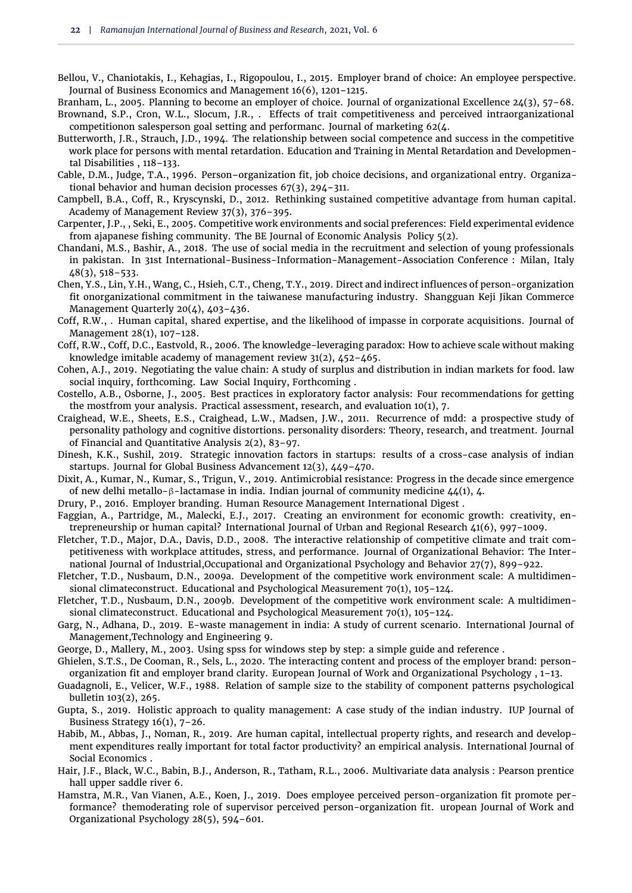- <span id="page-10-0"></span>Bellou, V., Chaniotakis, I., Kehagias, I., Rigopoulou, I., 2015. Employer brand of choice: An employee perspective. Journal of Business Economics and Management 16(6), 1201–1215.
- <span id="page-10-8"></span><span id="page-10-1"></span>Branham, L., 2005. Planning to become an employer of choice. Journal of organizational Excellence 24(3), 57–68. Brownand, S.P., Cron, W.L., Slocum, J.R., . Effects of trait competitiveness and perceived intraorganizational competitionon salesperson goal setting and performanc. Journal of marketing 62(4.
- <span id="page-10-11"></span>Butterworth, J.R., Strauch, J.D., 1994. The relationship between social competence and success in the competitive work place for persons with mental retardation. Education and Training in Mental Retardation and Developmental Disabilities , 118–133.
- <span id="page-10-21"></span>Cable, D.M., Judge, T.A., 1996. Person–organization fit, job choice decisions, and organizational entry. Organizational behavior and human decision processes 67(3), 294–311.
- <span id="page-10-17"></span>Campbell, B.A., Coff, R., Kryscynski, D., 2012. Rethinking sustained competitive advantage from human capital. Academy of Management Review 37(3), 376–395.
- <span id="page-10-10"></span>Carpenter, J.P., , Seki, E., 2005. Competitive work environments and social preferences: Field experimental evidence from ajapanese fishing community. The BE Journal of Economic Analysis Policy 5(2).
- <span id="page-10-28"></span>Chandani, M.S., Bashir, A., 2018. The use of social media in the recruitment and selection of young professionals in pakistan. In 31st International-Business-Information-Management-Association Conference : Milan, Italy 48(3), 518–533.
- <span id="page-10-19"></span>Chen, Y.S., Lin, Y.H., Wang, C., Hsieh, C.T., Cheng, T.Y., 2019. Direct and indirect influences of person-organization fit onorganizational commitment in the taiwanese manufacturing industry. Shangguan Keji Jikan Commerce Management Quarterly 20(4), 403–436.
- <span id="page-10-14"></span>Coff, R.W., . Human capital, shared expertise, and the likelihood of impasse in corporate acquisitions. Journal of Management 28(1), 107–128.
- <span id="page-10-15"></span>Coff, R.W., Coff, D.C., Eastvold, R., 2006. The knowledge-leveraging paradox: How to achieve scale without making knowledge imitable academy of management review 31(2), 452–465.
- <span id="page-10-5"></span>Cohen, A.J., 2019. Negotiating the value chain: A study of surplus and distribution in indian markets for food. law social inquiry, forthcoming. Law Social Inquiry, Forthcoming .
- <span id="page-10-23"></span>Costello, A.B., Osborne, J., 2005. Best practices in exploratory factor analysis: Four recommendations for getting the mostfrom your analysis. Practical assessment, research, and evaluation 10(1), 7.
- <span id="page-10-26"></span>Craighead, W.E., Sheets, E.S., Craighead, L.W., Madsen, J.W., 2011. Recurrence of mdd: a prospective study of personality pathology and cognitive distortions. personality disorders: Theory, research, and treatment. Journal of Financial and Quantitative Analysis 2(2), 83–97.
- <span id="page-10-6"></span>Dinesh, K.K., Sushil, 2019. Strategic innovation factors in startups: results of a cross-case analysis of indian startups. Journal for Global Business Advancement 12(3), 449–470.
- <span id="page-10-3"></span>Dixit, A., Kumar, N., Kumar, S., Trigun, V., 2019. Antimicrobial resistance: Progress in the decade since emergence of new delhi metallo-β-lactamase in india. Indian journal of community medicine 44(1), 4.
- <span id="page-10-16"></span>Drury, P., 2016. Employer branding. Human Resource Management International Digest .
- <span id="page-10-18"></span>Faggian, A., Partridge, M., Malecki, E.J., 2017. Creating an environment for economic growth: creativity, entrepreneurship or human capital? International Journal of Urban and Regional Research 41(6), 997–1009.
- <span id="page-10-13"></span>Fletcher, T.D., Major, D.A., Davis, D.D., 2008. The interactive relationship of competitive climate and trait competitiveness with workplace attitudes, stress, and performance. Journal of Organizational Behavior: The International Journal of Industrial,Occupational and Organizational Psychology and Behavior 27(7), 899–922.
- <span id="page-10-9"></span>Fletcher, T.D., Nusbaum, D.N., 2009a. Development of the competitive work environment scale: A multidimensional climateconstruct. Educational and Psychological Measurement 70(1), 105–124.
- <span id="page-10-12"></span>Fletcher, T.D., Nusbaum, D.N., 2009b. Development of the competitive work environment scale: A multidimensional climateconstruct. Educational and Psychological Measurement 70(1), 105–124.
- <span id="page-10-2"></span>Garg, N., Adhana, D., 2019. E-waste management in india: A study of current scenario. International Journal of Management,Technology and Engineering 9.
- <span id="page-10-24"></span>George, D., Mallery, M., 2003. Using spss for windows step by step: a simple guide and reference .
- <span id="page-10-27"></span>Ghielen, S.T.S., De Cooman, R., Sels, L., 2020. The interacting content and process of the employer brand: personorganization fit and employer brand clarity. European Journal of Work and Organizational Psychology , 1–13.
- <span id="page-10-22"></span>Guadagnoli, E., Velicer, W.F., 1988. Relation of sample size to the stability of component patterns psychological bulletin 103(2), 265.
- <span id="page-10-4"></span>Gupta, S., 2019. Holistic approach to quality management: A case study of the indian industry. IUP Journal of Business Strategy  $16(1)$ ,  $7-26$ .
- <span id="page-10-7"></span>Habib, M., Abbas, J., Noman, R., 2019. Are human capital, intellectual property rights, and research and development expenditures really important for total factor productivity? an empirical analysis. International Journal of Social Economics .
- <span id="page-10-25"></span>Hair, J.F., Black, W.C., Babin, B.J., Anderson, R., Tatham, R.L., 2006. Multivariate data analysis : Pearson prentice hall upper saddle river 6.
- <span id="page-10-20"></span>Hamstra, M.R., Van Vianen, A.E., Koen, J., 2019. Does employee perceived person-organization fit promote performance? themoderating role of supervisor perceived person-organization fit. uropean Journal of Work and Organizational Psychology 28(5), 594–601.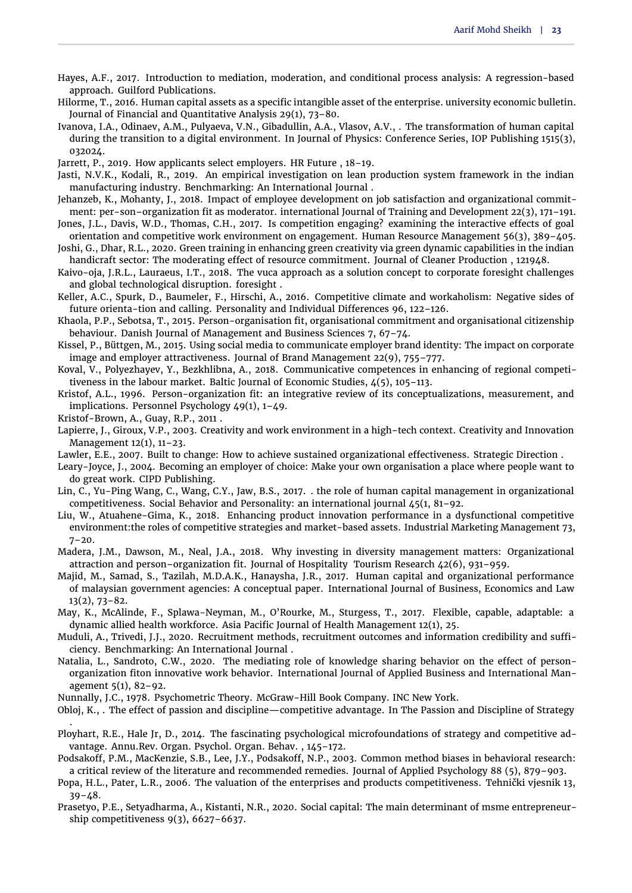- <span id="page-11-28"></span>Hayes, A.F., 2017. Introduction to mediation, moderation, and conditional process analysis: A regression-based approach. Guilford Publications.
- <span id="page-11-7"></span>Hilorme, T., 2016. Human capital assets as a specific intangible asset of the enterprise. university economic bulletin. Journal of Financial and Quantitative Analysis 29(1), 73–80.
- <span id="page-11-19"></span>Ivanova, I.A., Odinaev, A.M., Pulyaeva, V.N., Gibadullin, A.A., Vlasov, A.V., . The transformation of human capital during the transition to a digital environment. In Journal of Physics: Conference Series, IOP Publishing 1515(3), 032024.
- <span id="page-11-2"></span>Jarrett, P., 2019. How applicants select employers. HR Future , 18–19.
- <span id="page-11-11"></span>Jasti, N.V.K., Kodali, R., 2019. An empirical investigation on lean production system framework in the indian manufacturing industry. Benchmarking: An International Journal .
- <span id="page-11-10"></span>Jehanzeb, K., Mohanty, J., 2018. Impact of employee development on job satisfaction and organizational commitment: per-son–organization fit as moderator. international Journal of Training and Development 22(3), 171–191.
- <span id="page-11-13"></span>Jones, J.L., Davis, W.D., Thomas, C.H., 2017. Is competition engaging? examining the interactive effects of goal orientation and competitive work environment on engagement. Human Resource Management 56(3), 389–405.
- <span id="page-11-12"></span>Joshi, G., Dhar, R.L., 2020. Green training in enhancing green creativity via green dynamic capabilities in the indian handicraft sector: The moderating effect of resource commitment. Journal of Cleaner Production , 121948.
- <span id="page-11-6"></span>Kaivo-oja, J.R.L., Lauraeus, I.T., 2018. The vuca approach as a solution concept to corporate foresight challenges and global technological disruption. foresight .
- <span id="page-11-14"></span>Keller, A.C., Spurk, D., Baumeler, F., Hirschi, A., 2016. Competitive climate and workaholism: Negative sides of future orienta-tion and calling. Personality and Individual Differences 96, 122–126.
- <span id="page-11-22"></span>Khaola, P.P., Sebotsa, T., 2015. Person-organisation fit, organisational commitment and organisational citizenship behaviour. Danish Journal of Management and Business Sciences 7, 67–74.
- <span id="page-11-15"></span>Kissel, P., Büttgen, M., 2015. Using social media to communicate employer brand identity: The impact on corporate image and employer attractiveness. Journal of Brand Management 22(9), 755–777.
- <span id="page-11-8"></span>Koval, V., Polyezhayev, Y., Bezkhlibna, A., 2018. Communicative competences in enhancing of regional competitiveness in the labour market. Baltic Journal of Economic Studies, 4(5), 105–113.
- <span id="page-11-25"></span>Kristof, A.L., 1996. Person-organization fit: an integrative review of its conceptualizations, measurement, and implications. Personnel Psychology 49(1), 1–49.
- <span id="page-11-21"></span>Kristof-Brown, A., Guay, R.P., 2011 .

.

- <span id="page-11-18"></span>Lapierre, J., Giroux, V.P., 2003. Creativity and work environment in a high-tech context. Creativity and Innovation Management 12(1), 11–23.
- <span id="page-11-9"></span>Lawler, E.E., 2007. Built to change: How to achieve sustained organizational effectiveness. Strategic Direction .
- <span id="page-11-0"></span>Leary-Joyce, J., 2004. Becoming an employer of choice: Make your own organisation a place where people want to do great work. CIPD Publishing.
- <span id="page-11-4"></span>Lin, C., Yu-Ping Wang, C., Wang, C.Y., Jaw, B.S., 2017. . the role of human capital management in organizational competitiveness. Social Behavior and Personality: an international journal  $45(1, 81-92)$ .
- <span id="page-11-3"></span>Liu, W., Atuahene-Gima, K., 2018. Enhancing product innovation performance in a dysfunctional competitive environment:the roles of competitive strategies and market-based assets. Industrial Marketing Management 73,  $7 - 20.$
- <span id="page-11-24"></span>Madera, J.M., Dawson, M., Neal, J.A., 2018. Why investing in diversity management matters: Organizational attraction and person–organization fit. Journal of Hospitality Tourism Research 42(6), 931–959.
- <span id="page-11-5"></span>Majid, M., Samad, S., Tazilah, M.D.A.K., Hanaysha, J.R., 2017. Human capital and organizational performance of malaysian government agencies: A conceptual paper. International Journal of Business, Economics and Law 13(2), 73–82.
- <span id="page-11-1"></span>May, K., McAlinde, F., Splawa-Neyman, M., O'Rourke, M., Sturgess, T., 2017. Flexible, capable, adaptable: a dynamic allied health workforce. Asia Pacific Journal of Health Management 12(1), 25.
- <span id="page-11-29"></span>Muduli, A., Trivedi, J.J., 2020. Recruitment methods, recruitment outcomes and information credibility and sufficiency. Benchmarking: An International Journal .
- <span id="page-11-23"></span>Natalia, L., Sandroto, C.W., 2020. The mediating role of knowledge sharing behavior on the effect of personorganization fiton innovative work behavior. International Journal of Applied Business and International Management 5(1), 82–92.
- <span id="page-11-26"></span>Nunnally, J.C., 1978. Psychometric Theory. McGraw-Hill Book Company. INC New York.
- <span id="page-11-30"></span>Obloj, K., . The effect of passion and discipline—competitive advantage. In The Passion and Discipline of Strategy
- <span id="page-11-20"></span>Ployhart, R.E., Hale Jr, D., 2014. The fascinating psychological microfoundations of strategy and competitive advantage. Annu.Rev. Organ. Psychol. Organ. Behav. , 145–172.
- <span id="page-11-27"></span>Podsakoff, P.M., MacKenzie, S.B., Lee, J.Y., Podsakoff, N.P., 2003. Common method biases in behavioral research: a critical review of the literature and recommended remedies. Journal of Applied Psychology 88 (5), 879–903.
- <span id="page-11-16"></span>Popa, H.L., Pater, L.R., 2006. The valuation of the enterprises and products competitiveness. Tehnički vjesnik 13, 39–48.
- <span id="page-11-17"></span>Prasetyo, P.E., Setyadharma, A., Kistanti, N.R., 2020. Social capital: The main determinant of msme entrepreneurship competitiveness 9(3), 6627–6637.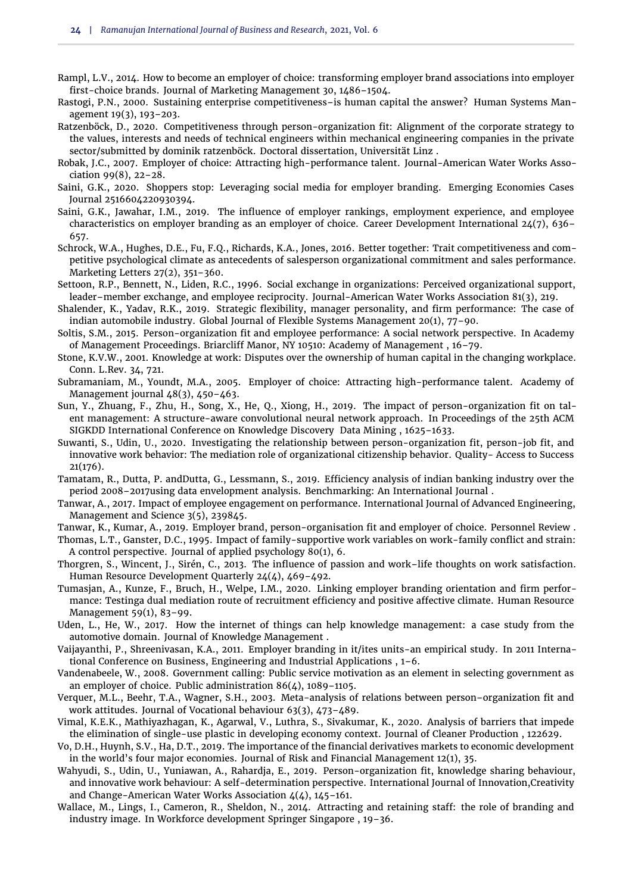- <span id="page-12-10"></span>Rampl, L.V., 2014. How to become an employer of choice: transforming employer brand associations into employer first-choice brands. Journal of Marketing Management 30, 1486–1504.
- <span id="page-12-22"></span>Rastogi, P.N., 2000. Sustaining enterprise competitiveness–is human capital the answer? Human Systems Management 19(3), 193–203.
- <span id="page-12-16"></span>Ratzenböck, D., 2020. Competitiveness through person-organization fit: Alignment of the corporate strategy to the values, interests and needs of technical engineers within mechanical engineering companies in the private sector/submitted by dominik ratzenböck. Doctoral dissertation, Universität Linz .
- <span id="page-12-1"></span>Robak, J.C., 2007. Employer of choice: Attracting high-performance talent. Journal-American Water Works Association 99(8), 22–28.
- <span id="page-12-4"></span>Saini, G.K., 2020. Shoppers stop: Leveraging social media for employer branding. Emerging Economies Cases Journal 2516604220930394.
- <span id="page-12-11"></span>Saini, G.K., Jawahar, I.M., 2019. The influence of employer rankings, employment experience, and employee characteristics on employer branding as an employer of choice. Career Development International 24(7), 636– 657.
- <span id="page-12-12"></span>Schrock, W.A., Hughes, D.E., Fu, F.Q., Richards, K.A., Jones, 2016. Better together: Trait competitiveness and competitive psychological climate as antecedents of salesperson organizational commitment and sales performance. Marketing Letters 27(2), 351–360.
- <span id="page-12-26"></span>Settoon, R.P., Bennett, N., Liden, R.C., 1996. Social exchange in organizations: Perceived organizational support, leader–member exchange, and employee reciprocity. Journal-American Water Works Association 81(3), 219.
- <span id="page-12-9"></span>Shalender, K., Yadav, R.K., 2019. Strategic flexibility, manager personality, and firm performance: The case of indian automobile industry. Global Journal of Flexible Systems Management 20(1), 77–90.
- <span id="page-12-25"></span>Soltis, S.M., 2015. Person-organization fit and employee performance: A social network perspective. In Academy of Management Proceedings. Briarcliff Manor, NY 10510: Academy of Management , 16–79.
- <span id="page-12-14"></span>Stone, K.V.W., 2001. Knowledge at work: Disputes over the ownership of human capital in the changing workplace. Conn. L.Rev. 34, 721.
- <span id="page-12-20"></span>Subramaniam, M., Youndt, M.A., 2005. Employer of choice: Attracting high-performance talent. Academy of Management journal 48(3), 450–463.
- <span id="page-12-18"></span>Sun, Y., Zhuang, F., Zhu, H., Song, X., He, Q., Xiong, H., 2019. The impact of person-organization fit on talent management: A structure-aware convolutional neural network approach. In Proceedings of the 25th ACM SIGKDD International Conference on Knowledge Discovery Data Mining , 1625–1633.
- <span id="page-12-17"></span>Suwanti, S., Udin, U., 2020. Investigating the relationship between person-organization fit, person-job fit, and innovative work behavior: The mediation role of organizational citizenship behavior. Quality- Access to Success 21(176).
- <span id="page-12-8"></span>Tamatam, R., Dutta, P. andDutta, G., Lessmann, S., 2019. Efficiency analysis of indian banking industry over the period 2008–2017using data envelopment analysis. Benchmarking: An International Journal .
- <span id="page-12-27"></span>Tanwar, A., 2017. Impact of employee engagement on performance. International Journal of Advanced Engineering, Management and Science 3(5), 239845.
- <span id="page-12-3"></span>Tanwar, K., Kumar, A., 2019. Employer brand, person-organisation fit and employer of choice. Personnel Review .

<span id="page-12-0"></span>Thomas, L.T., Ganster, D.C., 1995. Impact of family-supportive work variables on work-family conflict and strain: A control perspective. Journal of applied psychology 80(1), 6.

- <span id="page-12-21"></span>Thorgren, S., Wincent, J., Sirén, C., 2013. The influence of passion and work–life thoughts on work satisfaction. Human Resource Development Quarterly 24(4), 469–492.
- <span id="page-12-24"></span>Tumasjan, A., Kunze, F., Bruch, H., Welpe, I.M., 2020. Linking employer branding orientation and firm performance: Testinga dual mediation route of recruitment efficiency and positive affective climate. Human Resource Management 59(1), 83–99.
- <span id="page-12-5"></span>Uden, L., He, W., 2017. How the internet of things can help knowledge management: a case study from the automotive domain. Journal of Knowledge Management .
- <span id="page-12-2"></span>Vaijayanthi, P., Shreenivasan, K.A., 2011. Employer branding in it/ites units-an empirical study. In 2011 International Conference on Business, Engineering and Industrial Applications , 1–6.
- <span id="page-12-13"></span>Vandenabeele, W., 2008. Government calling: Public service motivation as an element in selecting government as an employer of choice. Public administration 86(4), 1089–1105.
- <span id="page-12-19"></span>Verquer, M.L., Beehr, T.A., Wagner, S.H., 2003. Meta-analysis of relations between person–organization fit and work attitudes. Journal of Vocational behaviour 63(3), 473–489.
- <span id="page-12-7"></span>Vimal, K.E.K., Mathiyazhagan, K., Agarwal, V., Luthra, S., Sivakumar, K., 2020. Analysis of barriers that impede the elimination of single-use plastic in developing economy context. Journal of Cleaner Production , 122629.
- <span id="page-12-6"></span>Vo, D.H., Huynh, S.V., Ha, D.T., 2019. The importance of the financial derivatives markets to economic development in the world's four major economies. Journal of Risk and Financial Management 12(1), 35.
- <span id="page-12-23"></span>Wahyudi, S., Udin, U., Yuniawan, A., Rahardja, E., 2019. Person-organization fit, knowledge sharing behaviour, and innovative work behaviour: A self-determination perspective. International Journal of Innovation,Creativity and Change-American Water Works Association 4(4), 145–161.
- <span id="page-12-15"></span>Wallace, M., Lings, I., Cameron, R., Sheldon, N., 2014. Attracting and retaining staff: the role of branding and industry image. In Workforce development Springer Singapore , 19–36.